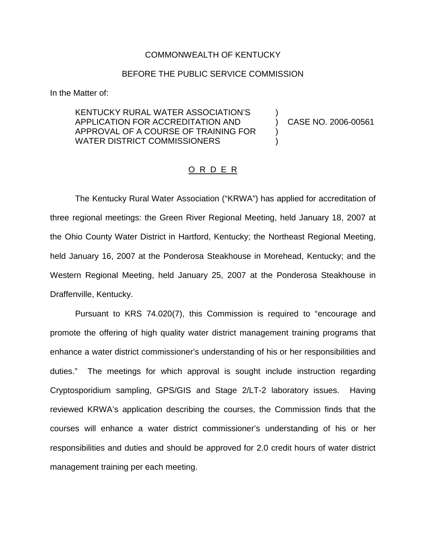## COMMONWEALTH OF KENTUCKY

## BEFORE THE PUBLIC SERVICE COMMISSION

In the Matter of:

KENTUCKY RURAL WATER ASSOCIATION'S ) APPLICATION FOR ACCREDITATION AND ) CASE NO. 2006-00561 APPROVAL OF A COURSE OF TRAINING FOR ) WATER DISTRICT COMMISSIONERS

## O R D E R

The Kentucky Rural Water Association ("KRWA") has applied for accreditation of three regional meetings: the Green River Regional Meeting, held January 18, 2007 at the Ohio County Water District in Hartford, Kentucky; the Northeast Regional Meeting, held January 16, 2007 at the Ponderosa Steakhouse in Morehead, Kentucky; and the Western Regional Meeting, held January 25, 2007 at the Ponderosa Steakhouse in Draffenville, Kentucky.

Pursuant to KRS 74.020(7), this Commission is required to "encourage and promote the offering of high quality water district management training programs that enhance a water district commissioner's understanding of his or her responsibilities and duties." The meetings for which approval is sought include instruction regarding Cryptosporidium sampling, GPS/GIS and Stage 2/LT-2 laboratory issues. Having reviewed KRWA's application describing the courses, the Commission finds that the courses will enhance a water district commissioner's understanding of his or her responsibilities and duties and should be approved for 2.0 credit hours of water district management training per each meeting.